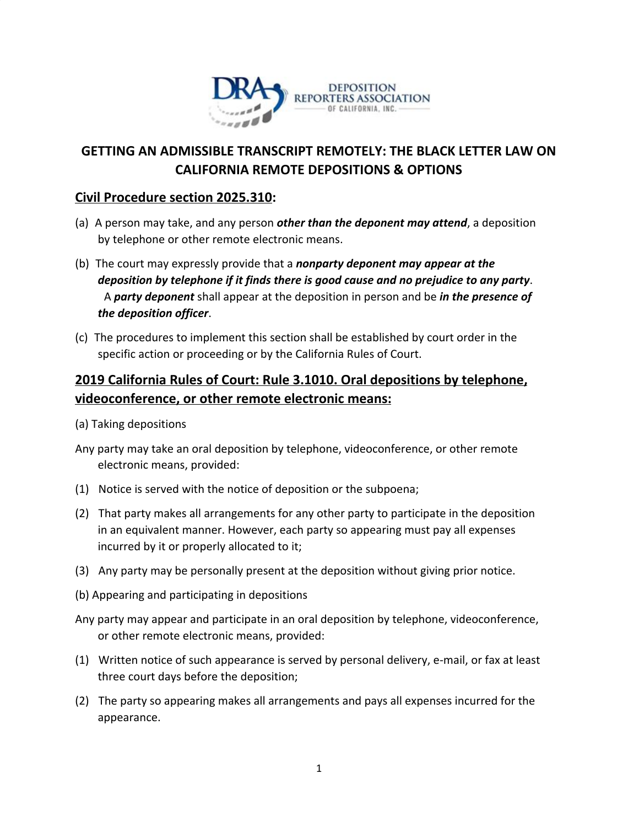

## **GETTING AN ADMISSIBLE TRANSCRIPT REMOTELY: THE BLACK LETTER LAW ON CALIFORNIA REMOTE DEPOSITIONS & OPTIONS**

### **Civil Procedure section 2025.310:**

- (a) A person may take, and any person *other than the deponent may attend*, a deposition by telephone or other remote electronic means.
- (b) The court may expressly provide that a *nonparty deponent may appear at the deposition by telephone if it finds there is good cause and no prejudice to any party*. A *party deponent* shall appear at the deposition in person and be *in the presence of the deposition officer*.
- (c) The procedures to implement this section shall be established by court order in the specific action or proceeding or by the California Rules of Court.

## **2019 California Rules of Court: Rule 3.1010. Oral depositions by telephone, videoconference, or other remote electronic means:**

- (a) Taking depositions
- Any party may take an oral deposition by telephone, videoconference, or other remote electronic means, provided:
- (1) Notice is served with the notice of deposition or the subpoena;
- (2) That party makes all arrangements for any other party to participate in the deposition in an equivalent manner. However, each party so appearing must pay all expenses incurred by it or properly allocated to it;
- (3) Any party may be personally present at the deposition without giving prior notice.
- (b) Appearing and participating in depositions
- Any party may appear and participate in an oral deposition by telephone, videoconference, or other remote electronic means, provided:
- (1) Written notice of such appearance is served by personal delivery, e-mail, or fax at least three court days before the deposition;
- (2) The party so appearing makes all arrangements and pays all expenses incurred for the appearance.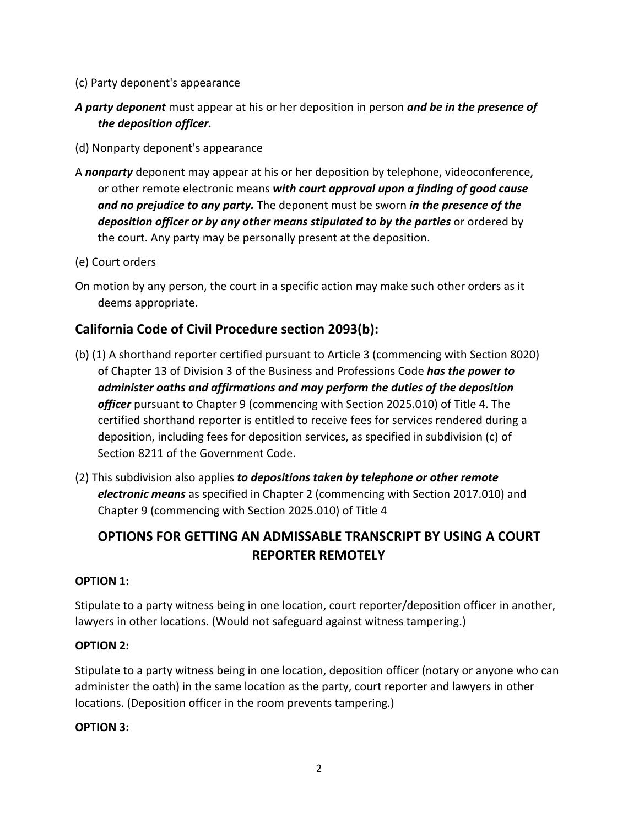- (c) Party deponent's appearance
- *A party deponent* must appear at his or her deposition in person *and be in the presence of the deposition officer.*
- (d) Nonparty deponent's appearance
- A *nonparty* deponent may appear at his or her deposition by telephone, videoconference, or other remote electronic means *with court approval upon a finding of good cause and no prejudice to any party.* The deponent must be sworn *in the presence of the deposition officer or by any other means stipulated to by the parties* or ordered by the court. Any party may be personally present at the deposition.
- (e) Court orders
- On motion by any person, the court in a specific action may make such other orders as it deems appropriate.

### **California Code of Civil Procedure section 2093(b):**

- (b) (1) A shorthand reporter certified pursuant to Article 3 (commencing with Section 8020) of Chapter 13 of Division 3 of the Business and Professions Code *has the power to administer oaths and affirmations and may perform the duties of the deposition officer* pursuant to Chapter 9 (commencing with Section 2025.010) of Title 4. The certified shorthand reporter is entitled to receive fees for services rendered during a deposition, including fees for deposition services, as specified in subdivision (c) of Section 8211 of the Government Code.
- (2) This subdivision also applies *to depositions taken by telephone or other remote electronic means* as specified in Chapter 2 (commencing with Section 2017.010) and Chapter 9 (commencing with Section 2025.010) of Title 4

# **OPTIONS FOR GETTING AN ADMISSABLE TRANSCRIPT BY USING A COURT REPORTER REMOTELY**

### **OPTION 1:**

Stipulate to a party witness being in one location, court reporter/deposition officer in another, lawyers in other locations. (Would not safeguard against witness tampering.)

#### **OPTION 2:**

Stipulate to a party witness being in one location, deposition officer (notary or anyone who can administer the oath) in the same location as the party, court reporter and lawyers in other locations. (Deposition officer in the room prevents tampering.)

#### **OPTION 3:**